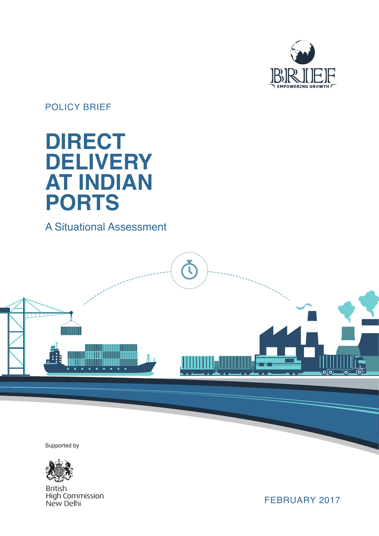

# POLICY BRIEF

# **DIRECT DELIVERY AT INDIAN PORTS**

# A Situational Assessment

# $\mathbf C$ **THURSE** an da kasasar I  $\overline{\mathsf{O}(\mathsf{O})}$  $\Omega$

Supported by



**British High Commission** New Delhi

FEBRUARY 2017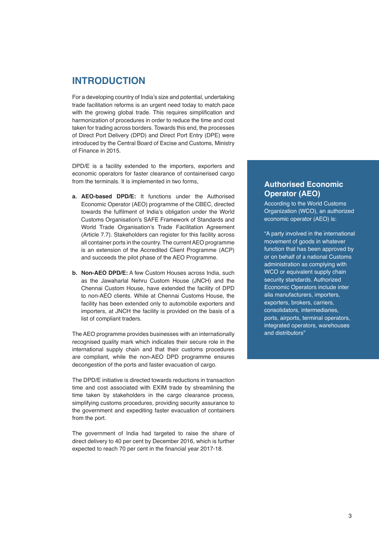### **INTRODUCTION**

For a developing country of India's size and potential, undertaking trade facilitation reforms is an urgent need today to match pace with the growing global trade. This requires simplification and harmonization of procedures in order to reduce the time and cost taken for trading across borders. Towards this end, the processes of Direct Port Delivery (DPD) and Direct Port Entry (DPE) were introduced by the Central Board of Excise and Customs, Ministry of Finance in 2015.

DPD/E is a facility extended to the importers, exporters and economic operators for faster clearance of containerised cargo from the terminals. It is implemented in two forms,

- **a. AEO-based DPD/E:** It functions under the Authorised Economic Operator (AEO) programme of the CBEC, directed towards the fulfilment of India's obligation under the World Customs Organisation's SAFE Framework of Standards and World Trade Organisation's Trade Facilitation Agreement (Article 7.7). Stakeholders can register for this facility across all container ports in the country. The current AEO programme is an extension of the Accredited Client Programme (ACP) and succeeds the pilot phase of the AEO Programme.
- **b. Non-AEO DPD/E:** A few Custom Houses across India, such as the Jawaharlal Nehru Custom House (JNCH) and the Chennai Custom House, have extended the facility of DPD to non-AEO clients. While at Chennai Customs House, the facility has been extended only to automobile exporters and importers, at JNCH the facility is provided on the basis of a list of compliant traders.

The AEO programme provides businesses with an internationally recognised quality mark which indicates their secure role in the international supply chain and that their customs procedures are compliant, while the non-AEO DPD programme ensures decongestion of the ports and faster evacuation of cargo.

The DPD/E initiative is directed towards reductions in transaction time and cost associated with EXIM trade by streamlining the time taken by stakeholders in the cargo clearance process. simplifying customs procedures, providing security assurance to the government and expediting faster evacuation of containers from the port.

The government of India had targeted to raise the share of direct delivery to 40 per cent by December 2016, which is further expected to reach 70 per cent in the financial year 2017-18.

#### **Authorised Economic Operator (AEO)**

According to the World Customs Organization (WCO), an authorized economic operator (AEO) is:

"A party involved in the international movement of goods in whatever function that has been approved by or on behalf of a national Customs administration as complying with WCO or equivalent supply chain security standards. Authorized Economic Operators include inter alia manufacturers, importers, exporters, brokers, carriers, consolidators, intermediaries, ports, airports, terminal operators, integrated operators, warehouses and distributors"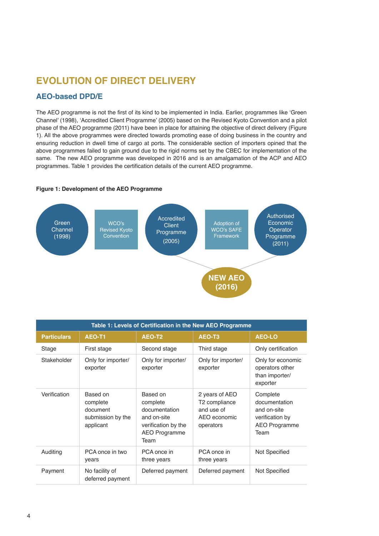# **EVOLUTION OF DIRECT DELIVERY**

#### **AEO-based DPD/E**

The AEO programme is not the first of its kind to be implemented in India. Earlier, programmes like 'Green Channel' (1998), 'Accredited Client Programme' (2005) based on the Revised Kyoto Convention and a pilot phase of the AEO programme (2011) have been in place for attaining the objective of direct delivery (Figure 1). All the above programmes were directed towards promoting ease of doing business in the country and ensuring reduction in dwell time of cargo at ports. The considerable section of importers opined that the above programmes failed to gain ground due to the rigid norms set by the CBEC for implementation of the same. The new AEO programme was developed in 2016 and is an amalgamation of the ACP and AEO programmes. Table 1 provides the certification details of the current AEO programme.

#### **Figure 1: Development of the AEO Programme**



| Table 1: Levels of Certification in the New AEO Programme |                                                                    |                                                                                                      |                                                                            |                                                                                             |  |
|-----------------------------------------------------------|--------------------------------------------------------------------|------------------------------------------------------------------------------------------------------|----------------------------------------------------------------------------|---------------------------------------------------------------------------------------------|--|
| <b>Particulars</b>                                        | AEO-T1                                                             | AEO-T2                                                                                               | AEO-T3                                                                     | <b>AEO-LO</b>                                                                               |  |
| Stage                                                     | First stage                                                        | Second stage                                                                                         | Third stage                                                                | Only certification                                                                          |  |
| Stakeholder                                               | Only for importer/<br>exporter                                     | Only for importer/<br>exporter                                                                       | Only for importer/<br>exporter                                             | Only for economic<br>operators other<br>than importer/<br>exporter                          |  |
| Verification                                              | Based on<br>complete<br>document<br>submission by the<br>applicant | Based on<br>complete<br>documentation<br>and on-site<br>verification by the<br>AEO Programme<br>Team | 2 years of AEO<br>T2 compliance<br>and use of<br>AEO economic<br>operators | Complete<br>documentation<br>and on-site<br>verification by<br><b>AEO Programme</b><br>Team |  |
| Auditing                                                  | PCA once in two<br>years                                           | PCA once in<br>three years                                                                           | PCA once in<br>three years                                                 | Not Specified                                                                               |  |
| Payment                                                   | No facility of<br>deferred payment                                 | Deferred payment                                                                                     | Deferred payment                                                           | Not Specified                                                                               |  |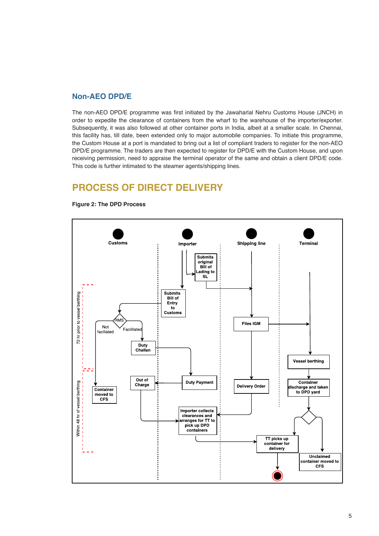#### **Non-AEO DPD/E**

The non-AEO DPD/E programme was first initiated by the Jawaharlal Nehru Customs House (JNCH) in order to expedite the clearance of containers from the wharf to the warehouse of the importer/exporter. Subsequently, it was also followed at other container ports in India, albeit at a smaller scale. In Chennai, this facility has, till date, been extended only to major automobile companies. To initiate this programme, the Custom House at a port is mandated to bring out a list of compliant traders to register for the non-AEO DPD/E programme. The traders are then expected to register for DPD/E with the Custom House, and upon receiving permission, need to appraise the terminal operator of the same and obtain a client DPD/E code. This code is further intimated to the steamer agents/shipping lines.

# **PROCESS OF DIRECT DELIVERY**



**Figure 2: The DPD Process**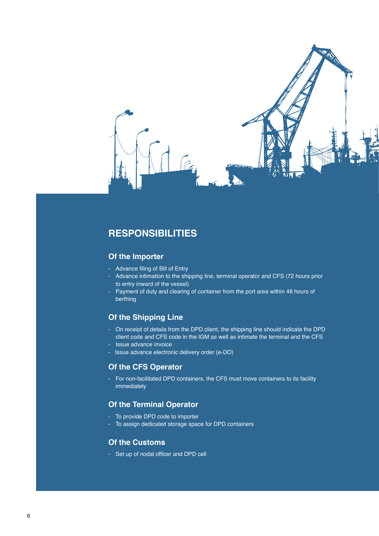

# **RESPONSIBILITIES**

#### **Of the Importer**

- Advance filing of Bill of Entry
- Advance intimation to the shipping line, terminal operator and CFS (72 hours prior to entry inward of the vessel)
- Payment of duty and clearing of container from the port area within 48 hours of berthing

#### **Of the Shipping Line**

- On receipt of details from the DPD client, the shipping line should indicate the DPD client code and CFS code in the IGM as well as intimate the terminal and the CFS
- Issue advance invoice
- Issue advance electronic delivery order (e-DO)

#### **Of the CFS Operator**

- For non-facilitated DPD containers, the CFS must move containers to its facility immediately

#### **Of the Terminal Operator**

- To provide DPD code to importer
- To assign dedicated storage space for DPD containers

#### **Of the Customs**

- Set up of nodal officer and DPD cell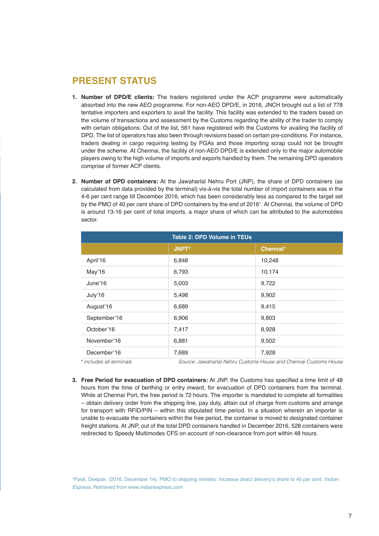# **PRESENT STATUS**

- **1. Number of DPD/E clients:** The traders registered under the ACP programme were automatically absorbed into the new AEO programme. For non-AEO DPD/E, in 2016, JNCH brought out a list of 778 tentative importers and exporters to avail the facility. This facility was extended to the traders based on the volume of transactions and assessment by the Customs regarding the ability of the trader to comply with certain obligations. Out of the list, 561 have registered with the Customs for availing the facility of DPD. The list of operators has also been through revisions based on certain pre-conditions. For instance, traders dealing in cargo requiring testing by PGAs and those importing scrap could not be brought under the scheme. At Chennai, the facility of non-AEO DPD/E is extended only to the major automobile players owing to the high volume of imports and exports handled by them. The remaining DPD operators comprise of former ACP clients.
- **2. Number of DPD containers:** At the Jawaharlal Nehru Port (JNP), the share of DPD containers (as calculated from data provided by the terminal) vis-à-vis the total number of import containers was in the 4-6 per cent range till December 2016, which has been considerably less as compared to the target set by the PMO of 40 per cent share of DPD containers by the end of 20161 . At Chennai, the volume of DPD is around 13-16 per cent of total imports, a major share of which can be attributed to the automobiles sector.

| <b>Table 2: DPD Volume in TEUs</b> |              |                                                                  |  |  |
|------------------------------------|--------------|------------------------------------------------------------------|--|--|
|                                    | <b>JNPT*</b> | Chennai*                                                         |  |  |
| April'16                           | 6,848        | 10,248                                                           |  |  |
| May'16                             | 6,793        | 10,174                                                           |  |  |
| June'16                            | 5,003        | 9,722                                                            |  |  |
| July'16                            | 5,498        | 9,902                                                            |  |  |
| August'16                          | 6,689        | 9,415                                                            |  |  |
| September'16                       | 6,906        | 9,803                                                            |  |  |
| October'16                         | 7,417        | 8,928                                                            |  |  |
| November'16                        | 6,881        | 9,502                                                            |  |  |
| December'16                        | 7,689        | 7,928                                                            |  |  |
| * includes all terminals           |              | Source: Jawaharlal Nehru Customs House and Chennai Customs House |  |  |

**3. Free Period for evacuation of DPD containers:** At JNP, the Customs has specified a time limit of 48 hours from the time of berthing or entry inward, for evacuation of DPD containers from the terminal. While at Chennai Port, the free period is 72 hours. The importer is mandated to complete all formalities – obtain delivery order from the shipping line, pay duty, attain out of charge from customs and arrange for transport with RFID/PIN – within this stipulated time period. In a situation wherein an importer is unable to evacuate the containers within the free period, the container is moved to designated container freight stations. At JNP, out of the total DPD containers handled in December 2016, 528 containers were redirected to Speedy Multimodes CFS on account of non-clearance from port within 48 hours.

1 Patel, Deepak. (2016, December 14). PMO to shipping ministry: Increase direct delivery's share to 40 per cent. *Indian Express*. Retrieved from www.indianexpress.com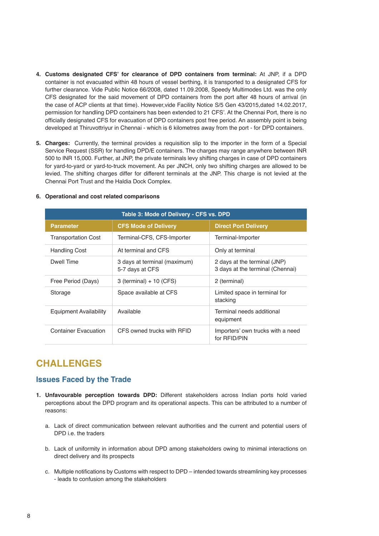- **4. Customs designated CFS' for clearance of DPD containers from terminal:** At JNP, if a DPD container is not evacuated within 48 hours of vessel berthing, it is transported to a designated CFS for further clearance. Vide Public Notice 66/2008, dated 11.09.2008, Speedy Multimodes Ltd. was the only CFS designated for the said movement of DPD containers from the port after 48 hours of arrival (in the case of ACP clients at that time). However,vide Facility Notice S/5 Gen 43/2015,dated 14.02.2017, permission for handling DPD containers has been extended to 21 CFS'. At the Chennai Port, there is no officially designated CFS for evacuation of DPD containers post free period. An assembly point is being developed at Thiruvottriyur in Chennai - which is 6 kilometres away from the port - for DPD containers.
- **5. Charges:** Currently, the terminal provides a requisition slip to the importer in the form of a Special Service Request (SSR) for handling DPD/E containers. The charges may range anywhere between INR 500 to INR 15,000. Further, at JNP, the private terminals levy shifting charges in case of DPD containers for yard-to-yard or yard-to-truck movement. As per JNCH, only two shifting charges are allowed to be levied. The shifting charges differ for different terminals at the JNP. This charge is not levied at the Chennai Port Trust and the Haldia Dock Complex.

| Table 3: Mode of Delivery - CFS vs. DPD |                                                 |                                                                  |  |  |
|-----------------------------------------|-------------------------------------------------|------------------------------------------------------------------|--|--|
| <b>Parameter</b>                        | <b>CFS Mode of Delivery</b>                     | <b>Direct Port Delivery</b>                                      |  |  |
| <b>Transportation Cost</b>              | Terminal-CFS, CFS-Importer                      | Terminal-Importer                                                |  |  |
| <b>Handling Cost</b>                    | At terminal and CFS                             | Only at terminal                                                 |  |  |
| Dwell Time                              | 3 days at terminal (maximum)<br>5-7 days at CFS | 2 days at the terminal (JNP)<br>3 days at the terminal (Chennai) |  |  |
| Free Period (Days)                      | $3$ (terminal) + 10 (CFS)                       | 2 (terminal)                                                     |  |  |
| Storage                                 | Space available at CFS                          | Limited space in terminal for<br>stacking                        |  |  |
| <b>Equipment Availability</b>           | Available                                       | Terminal needs additional<br>equipment                           |  |  |
| Container Evacuation                    | CFS owned trucks with RFID                      | Importers' own trucks with a need<br>for RFID/PIN                |  |  |

#### **6. Operational and cost related comparisons**

#### **CHALLENGES**

#### **Issues Faced by the Trade**

- **1. Unfavourable perception towards DPD:** Different stakeholders across Indian ports hold varied perceptions about the DPD program and its operational aspects. This can be attributed to a number of reasons:
	- a. Lack of direct communication between relevant authorities and the current and potential users of DPD i.e. the traders
	- b. Lack of uniformity in information about DPD among stakeholders owing to minimal interactions on direct delivery and its prospects
	- c. Multiple notifications by Customs with respect to DPD intended towards streamlining key processes - leads to confusion among the stakeholders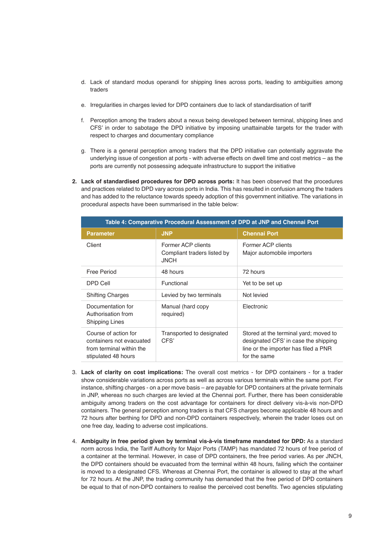- d. Lack of standard modus operandi for shipping lines across ports, leading to ambiguities among traders
- e. Irregularities in charges levied for DPD containers due to lack of standardisation of tariff
- f. Perception among the traders about a nexus being developed between terminal, shipping lines and CFS' in order to sabotage the DPD initiative by imposing unattainable targets for the trader with respect to charges and documentary compliance
- g. There is a general perception among traders that the DPD initiative can potentially aggravate the underlying issue of congestion at ports - with adverse effects on dwell time and cost metrics – as the ports are currently not possessing adequate infrastructure to support the initiative
- **2. Lack of standardised procedures for DPD across ports:** It has been observed that the procedures and practices related to DPD vary across ports in India. This has resulted in confusion among the traders and has added to the reluctance towards speedy adoption of this government initiative. The variations in procedural aspects have been summarised in the table below:

| Table 4: Comparative Procedural Assessment of DPD at JNP and Chennai Port                           |                                                                  |                                                                                                                                       |  |  |
|-----------------------------------------------------------------------------------------------------|------------------------------------------------------------------|---------------------------------------------------------------------------------------------------------------------------------------|--|--|
| <b>Parameter</b>                                                                                    | <b>JNP</b>                                                       | <b>Chennai Port</b>                                                                                                                   |  |  |
| Client                                                                                              | Former ACP clients<br>Compliant traders listed by<br><b>JNCH</b> | Former ACP clients<br>Major automobile importers                                                                                      |  |  |
| Free Period                                                                                         | 48 hours                                                         | 72 hours                                                                                                                              |  |  |
| DPD Cell                                                                                            | Functional                                                       | Yet to be set up                                                                                                                      |  |  |
| <b>Shifting Charges</b>                                                                             | Levied by two terminals                                          | Not levied                                                                                                                            |  |  |
| Documentation for<br>Authorisation from<br><b>Shipping Lines</b>                                    | Manual (hard copy<br>required)                                   | Electronic                                                                                                                            |  |  |
| Course of action for<br>containers not evacuated<br>from terminal within the<br>stipulated 48 hours | Transported to designated<br>CFS'                                | Stored at the terminal yard; moved to<br>designated CFS' in case the shipping<br>line or the importer has filed a PNR<br>for the same |  |  |

- 3. **Lack of clarity on cost implications:** The overall cost metrics for DPD containers for a trader show considerable variations across ports as well as across various terminals within the same port. For instance, shifting charges - on a per move basis – are payable for DPD containers at the private terminals in JNP, whereas no such charges are levied at the Chennai port. Further, there has been considerable ambiguity among traders on the cost advantage for containers for direct delivery vis-à-vis non-DPD containers. The general perception among traders is that CFS charges become applicable 48 hours and 72 hours after berthing for DPD and non-DPD containers respectively, wherein the trader loses out on one free day, leading to adverse cost implications.
- 4. **Ambiguity in free period given by terminal vis-à-vis timeframe mandated for DPD:** As a standard norm across India, the Tariff Authority for Major Ports (TAMP) has mandated 72 hours of free period of a container at the terminal. However, in case of DPD containers, the free period varies. As per JNCH, the DPD containers should be evacuated from the terminal within 48 hours, failing which the container is moved to a designated CFS. Whereas at Chennai Port, the container is allowed to stay at the wharf for 72 hours. At the JNP, the trading community has demanded that the free period of DPD containers be equal to that of non-DPD containers to realise the perceived cost benefits. Two agencies stipulating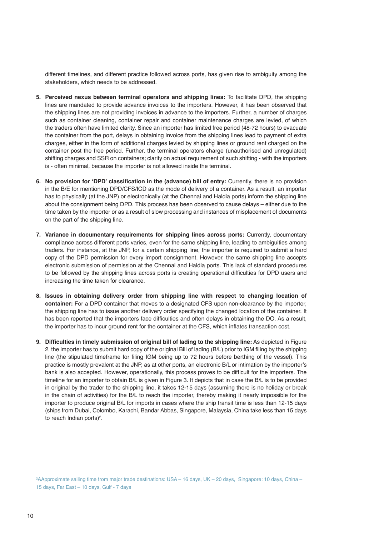different timelines, and different practice followed across ports, has given rise to ambiguity among the stakeholders, which needs to be addressed.

- **5. Perceived nexus between terminal operators and shipping lines:** To facilitate DPD, the shipping lines are mandated to provide advance invoices to the importers. However, it has been observed that the shipping lines are not providing invoices in advance to the importers. Further, a number of charges such as container cleaning, container repair and container maintenance charges are levied, of which the traders often have limited clarity. Since an importer has limited free period (48-72 hours) to evacuate the container from the port, delays in obtaining invoice from the shipping lines lead to payment of extra charges, either in the form of additional charges levied by shipping lines or ground rent charged on the container post the free period. Further, the terminal operators charge (unauthorised and unregulated) shifting charges and SSR on containers; clarity on actual requirement of such shifting - with the importers is - often minimal, because the importer is not allowed inside the terminal.
- **6. No provision for 'DPD' classification in the (advance) bill of entry:** Currently, there is no provision in the B/E for mentioning DPD/CFS/ICD as the mode of delivery of a container. As a result, an importer has to physically (at the JNP) or electronically (at the Chennai and Haldia ports) inform the shipping line about the consignment being DPD. This process has been observed to cause delays – either due to the time taken by the importer or as a result of slow processing and instances of misplacement of documents on the part of the shipping line.
- **7. Variance in documentary requirements for shipping lines across ports:** Currently, documentary compliance across different ports varies, even for the same shipping line, leading to ambiguities among traders. For instance, at the JNP, for a certain shipping line, the importer is required to submit a hard copy of the DPD permission for every import consignment. However, the same shipping line accepts electronic submission of permission at the Chennai and Haldia ports. This lack of standard procedures to be followed by the shipping lines across ports is creating operational difficulties for DPD users and increasing the time taken for clearance.
- **8. Issues in obtaining delivery order from shipping line with respect to changing location of container:** For a DPD container that moves to a designated CFS upon non-clearance by the importer, the shipping line has to issue another delivery order specifying the changed location of the container. It has been reported that the importers face difficulties and often delays in obtaining the DO. As a result, the importer has to incur ground rent for the container at the CFS, which inflates transaction cost.
- **9. Difficulties in timely submission of original bill of lading to the shipping line:** As depicted in Figure 2, the importer has to submit hard copy of the original Bill of lading (B/L) prior to IGM filing by the shipping line (the stipulated timeframe for filing IGM being up to 72 hours before berthing of the vessel). This practice is mostly prevalent at the JNP, as at other ports, an electronic B/L or intimation by the importer's bank is also accepted. However, operationally, this process proves to be difficult for the importers. The timeline for an importer to obtain B/L is given in Figure 3. It depicts that in case the B/L is to be provided in original by the trader to the shipping line, it takes 12-15 days (assuming there is no holiday or break in the chain of activities) for the B/L to reach the importer, thereby making it nearly impossible for the importer to produce original B/L for imports in cases where the ship transit time is less than 12-15 days (ships from Dubai, Colombo, Karachi, Bandar Abbas, Singapore, Malaysia, China take less than 15 days to reach Indian ports)<sup>2</sup>.

2 AApproximate sailing time from major trade destinations: USA – 16 days, UK – 20 days, Singapore: 10 days, China – 15 days, Far East – 10 days, Gulf - 7 days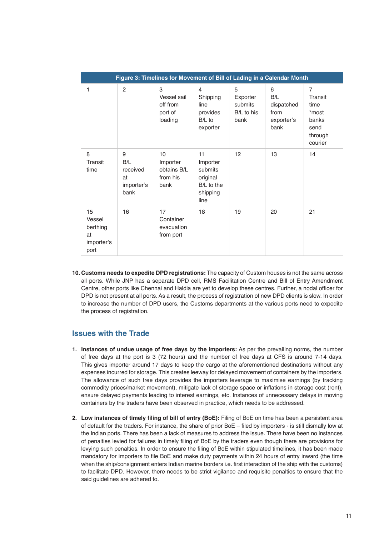| Figure 3: Timelines for Movement of Bill of Lading in a Calendar Month |                                                  |                                                    |                                                                         |                                                |                                                      |                                                                                   |
|------------------------------------------------------------------------|--------------------------------------------------|----------------------------------------------------|-------------------------------------------------------------------------|------------------------------------------------|------------------------------------------------------|-----------------------------------------------------------------------------------|
| 1                                                                      | 2                                                | 3<br>Vessel sail<br>off from<br>port of<br>loading | 4<br>Shipping<br>line<br>provides<br>B/L to<br>exporter                 | 5<br>Exporter<br>submits<br>B/L to his<br>bank | 6<br>B/L<br>dispatched<br>from<br>exporter's<br>bank | $\overline{7}$<br>Transit<br>time<br>*most<br>banks<br>send<br>through<br>courier |
| 8<br>Transit<br>time                                                   | 9<br>B/L<br>received<br>at<br>importer's<br>bank | 10<br>Importer<br>obtains B/L<br>from his<br>bank  | 11<br>Importer<br>submits<br>original<br>B/L to the<br>shipping<br>line | 12                                             | 13                                                   | 14                                                                                |
| 15<br>Vessel<br>berthing<br>at<br>importer's<br>port                   | 16                                               | 17<br>Container<br>evacuation<br>from port         | 18                                                                      | 19                                             | 20                                                   | 21                                                                                |

**10. Customs needs to expedite DPD registrations:** The capacity of Custom houses is not the same across all ports. While JNP has a separate DPD cell, RMS Facilitation Centre and Bill of Entry Amendment Centre, other ports like Chennai and Haldia are yet to develop these centres. Further, a nodal officer for DPD is not present at all ports. As a result, the process of registration of new DPD clients is slow. In order to increase the number of DPD users, the Customs departments at the various ports need to expedite the process of registration.

#### **Issues with the Trade**

- **1. Instances of undue usage of free days by the importers:** As per the prevailing norms, the number of free days at the port is 3 (72 hours) and the number of free days at CFS is around 7-14 days. This gives importer around 17 days to keep the cargo at the aforementioned destinations without any expenses incurred for storage. This creates leeway for delayed movement of containers by the importers. The allowance of such free days provides the importers leverage to maximise earnings (by tracking commodity prices/market movement), mitigate lack of storage space or inflations in storage cost (rent), ensure delayed payments leading to interest earnings, etc. Instances of unnecessary delays in moving containers by the traders have been observed in practice, which needs to be addressed.
- **2. Low instances of timely filing of bill of entry (BoE):** Filing of BoE on time has been a persistent area of default for the traders. For instance, the share of prior BoE – filed by importers - is still dismally low at the Indian ports. There has been a lack of measures to address the issue. There have been no instances of penalties levied for failures in timely filing of BoE by the traders even though there are provisions for levying such penalties. In order to ensure the filing of BoE within stipulated timelines, it has been made mandatory for importers to file BoE and make duty payments within 24 hours of entry inward (the time when the ship/consignment enters Indian marine borders i.e. first interaction of the ship with the customs) to facilitate DPD. However, there needs to be strict vigilance and requisite penalties to ensure that the said guidelines are adhered to.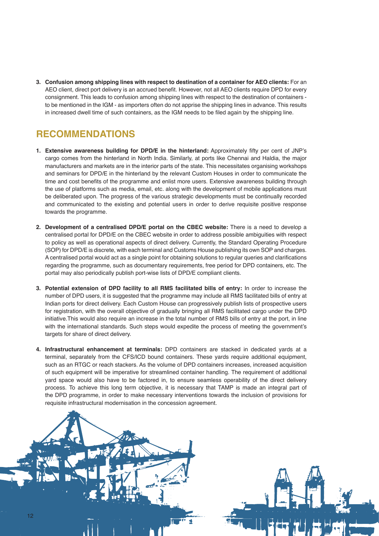**3. Confusion among shipping lines with respect to destination of a container for AEO clients:** For an AEO client, direct port delivery is an accrued benefit. However, not all AEO clients require DPD for every consignment. This leads to confusion among shipping lines with respect to the destination of containers to be mentioned in the IGM - as importers often do not apprise the shipping lines in advance. This results in increased dwell time of such containers, as the IGM needs to be filed again by the shipping line.

# **RECOMMENDATIONS**

- **1. Extensive awareness building for DPD/E in the hinterland:** Approximately fifty per cent of JNP's cargo comes from the hinterland in North India. Similarly, at ports like Chennai and Haldia, the major manufacturers and markets are in the interior parts of the state. This necessitates organising workshops and seminars for DPD/E in the hinterland by the relevant Custom Houses in order to communicate the time and cost benefits of the programme and enlist more users. Extensive awareness building through the use of platforms such as media, email, etc. along with the development of mobile applications must be deliberated upon. The progress of the various strategic developments must be continually recorded and communicated to the existing and potential users in order to derive requisite positive response towards the programme.
- **2. Development of a centralised DPD/E portal on the CBEC website:** There is a need to develop a centralised portal for DPD/E on the CBEC website in order to address possible ambiguities with respect to policy as well as operational aspects of direct delivery. Currently, the Standard Operating Procedure (SOP) for DPD/E is discrete, with each terminal and Customs House publishing its own SOP and charges. A centralised portal would act as a single point for obtaining solutions to regular queries and clarifications regarding the programme, such as documentary requirements, free period for DPD containers, etc. The portal may also periodically publish port-wise lists of DPD/E compliant clients.
- **3. Potential extension of DPD facility to all RMS facilitated bills of entry:** In order to increase the number of DPD users, it is suggested that the programme may include all RMS facilitated bills of entry at Indian ports for direct delivery. Each Custom House can progressively publish lists of prospective users for registration, with the overall objective of gradually bringing all RMS facilitated cargo under the DPD initiative.This would also require an increase in the total number of RMS bills of entry at the port, in line with the international standards. Such steps would expedite the process of meeting the government's targets for share of direct delivery.
- **4. Infrastructural enhancement at terminals:** DPD containers are stacked in dedicated yards at a terminal, separately from the CFS/ICD bound containers. These yards require additional equipment, such as an RTGC or reach stackers. As the volume of DPD containers increases, increased acquisition of such equipment will be imperative for streamlined container handling. The requirement of additional yard space would also have to be factored in, to ensure seamless operability of the direct delivery process. To achieve this long term objective, it is necessary that TAMP is made an integral part of the DPD programme, in order to make necessary interventions towards the inclusion of provisions for requisite infrastructural modernisation in the concession agreement.

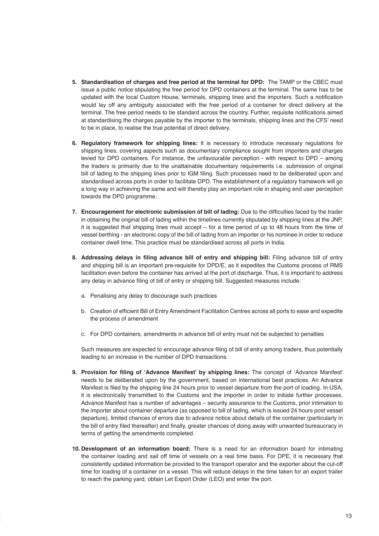- **5. Standardisation of charges and free period at the terminal for DPD:** The TAMP or the CBEC must issue a public notice stipulating the free period for DPD containers at the terminal. The same has to be updated with the local Custom House, terminals, shipping lines and the importers. Such a notification would lay off any ambiguity associated with the free period of a container for direct delivery at the terminal. The free period needs to be standard across the country. Further, requisite notifications aimed at standardising the charges payable by the importer to the terminals, shipping lines and the CFS' need to be in place, to realise the true potential of direct delivery.
- **6. Regulatory framework for shipping lines:** It is necessary to introduce necessary regulations for shipping lines, covering aspects such as documentary compliance sought from importers and charges levied for DPD containers. For instance, the unfavourable perception - with respect to DPD – among the traders is primarily due to the unattainable documentary requirements i.e. submission of original bill of lading to the shipping lines prior to IGM filing. Such processes need to be deliberated upon and standardised across ports in order to facilitate DPD. The establishment of a regulatory framework will go a long way in achieving the same and will thereby play an important role in shaping end user perception towards the DPD programme.
- **7. Encouragement for electronic submission of bill of lading:** Due to the difficulties faced by the trader in obtaining the original bill of lading within the timelines currently stipulated by shipping lines at the JNP, it is suggested that shipping lines must accept – for a time period of up to 48 hours from the time of vessel berthing - an electronic copy of the bill of lading from an importer or his nominee in order to reduce container dwell time. This practice must be standardised across all ports in India.
- **8. Addressing delays in filing advance bill of entry and shipping bill:** Filing advance bill of entry and shipping bill is an important pre-requisite for DPD/E, as it expedites the Customs process of RMS facilitation even before the container has arrived at the port of discharge. Thus, it is important to address any delay in advance filing of bill of entry or shipping bill. Suggested measures include:
	- a. Penalising any delay to discourage such practices
	- b. Creation of efficient Bill of Entry Amendment Facilitation Centres across all ports to ease and expedite the process of amendment
	- c. For DPD containers, amendments in advance bill of entry must not be subjected to penalties

Such measures are expected to encourage advance filing of bill of entry among traders, thus potentially leading to an increase in the number of DPD transactions.

- **9. Provision for filing of 'Advance Manifest' by shipping lines:** The concept of 'Advance Manifest' needs to be deliberated upon by the government, based on international best practices. An Advance Manifest is filed by the shipping line 24 hours prior to vessel departure from the port of loading. In USA, it is electronically transmitted to the Customs and the importer in order to initiate further processes. Advance Manifest has a number of advantages – security assurance to the Customs, prior intimation to the importer about container departure (as opposed to bill of lading, which is issued 24 hours post vessel departure), limited chances of errors due to advance notice about details of the container (particularly in the bill of entry filed thereafter) and finally, greater chances of doing away with unwanted bureaucracy in terms of getting the amendments completed.
- **10. Development of an information board:** There is a need for an information board for intimating the container loading and sail off time of vessels on a real time basis. For DPE, it is necessary that consistently updated information be provided to the transport operator and the exporter about the cut-off time for loading of a container on a vessel. This will reduce delays in the time taken for an export trailer to reach the parking yard, obtain Let Export Order (LEO) and enter the port.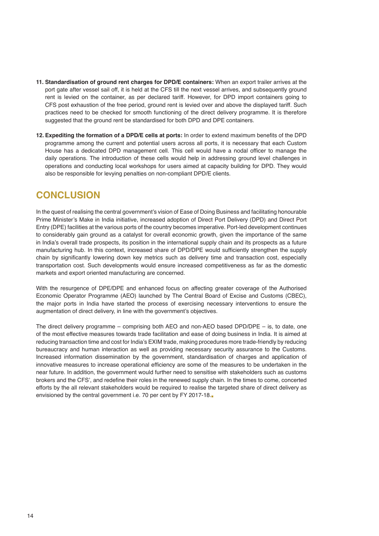- **11. Standardisation of ground rent charges for DPD/E containers:** When an export trailer arrives at the port gate after vessel sail off, it is held at the CFS till the next vessel arrives, and subsequently ground rent is levied on the container, as per declared tariff. However, for DPD import containers going to CFS post exhaustion of the free period, ground rent is levied over and above the displayed tariff. Such practices need to be checked for smooth functioning of the direct delivery programme. It is therefore suggested that the ground rent be standardised for both DPD and DPE containers.
- **12. Expediting the formation of a DPD/E cells at ports:** In order to extend maximum benefits of the DPD programme among the current and potential users across all ports, it is necessary that each Custom House has a dedicated DPD management cell. This cell would have a nodal officer to manage the daily operations. The introduction of these cells would help in addressing ground level challenges in operations and conducting local workshops for users aimed at capacity building for DPD. They would also be responsible for levying penalties on non-compliant DPD/E clients.

## **CONCLUSION**

In the quest of realising the central government's vision of Ease of Doing Business and facilitating honourable Prime Minister's Make in India initiative, increased adoption of Direct Port Delivery (DPD) and Direct Port Entry (DPE) facilities at the various ports of the country becomes imperative. Port-led development continues to considerably gain ground as a catalyst for overall economic growth, given the importance of the same in India's overall trade prospects, its position in the international supply chain and its prospects as a future manufacturing hub. In this context, increased share of DPD/DPE would sufficiently strengthen the supply chain by significantly lowering down key metrics such as delivery time and transaction cost, especially transportation cost. Such developments would ensure increased competitiveness as far as the domestic markets and export oriented manufacturing are concerned.

With the resurgence of DPE/DPE and enhanced focus on affecting greater coverage of the Authorised Economic Operator Programme (AEO) launched by The Central Board of Excise and Customs (CBEC), the major ports in India have started the process of exercising necessary interventions to ensure the augmentation of direct delivery, in line with the government's objectives.

The direct delivery programme – comprising both AEO and non-AEO based DPD/DPE – is, to date, one of the most effective measures towards trade facilitation and ease of doing business in India. It is aimed at reducing transaction time and cost for India's EXIM trade, making procedures more trade-friendly by reducing bureaucracy and human interaction as well as providing necessary security assurance to the Customs. Increased information dissemination by the government, standardisation of charges and application of innovative measures to increase operational efficiency are some of the measures to be undertaken in the near future. In addition, the government would further need to sensitise with stakeholders such as customs brokers and the CFS', and redefine their roles in the renewed supply chain. In the times to come, concerted efforts by the all relevant stakeholders would be required to realise the targeted share of direct delivery as envisioned by the central government i.e. 70 per cent by FY 2017-18.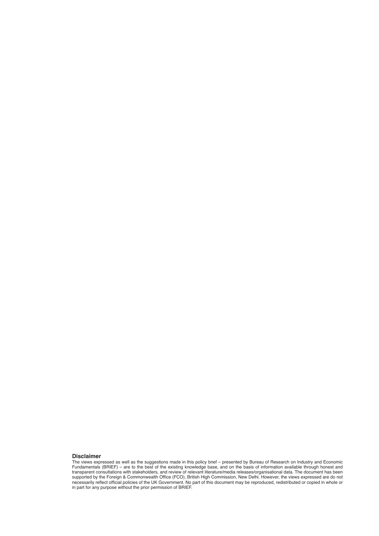#### **Disclaimer**

The views expressed as well as the suggestions made in this policy brief – presented by Bureau of Research on Industry and Economic Fundamentals (BRIEF) – are to the best of the existing knowledge base, and on the basis of information available through honest and transparent consultations with stakeholders, and review of relevant literature/media releases/organisational data. The document has been supported by the Foreign & Commonwealth Office (FCO), British High Commission, New Delhi. However, the views expressed are do not necessarily reflect official policies of the UK Government. No part of this document may be reproduced, redistributed or copied in whole or in part for any purpose without the prior permission of BRIEF.